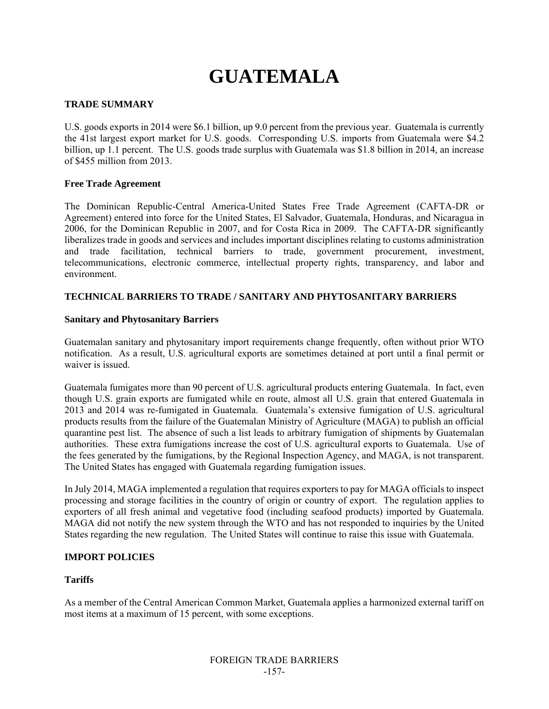# **GUATEMALA**

# **TRADE SUMMARY**

U.S. goods exports in 2014 were \$6.1 billion, up 9.0 percent from the previous year. Guatemala is currently the 41st largest export market for U.S. goods. Corresponding U.S. imports from Guatemala were \$4.2 billion, up 1.1 percent. The U.S. goods trade surplus with Guatemala was \$1.8 billion in 2014, an increase of \$455 million from 2013.

## **Free Trade Agreement**

The Dominican Republic-Central America-United States Free Trade Agreement (CAFTA-DR or Agreement) entered into force for the United States, El Salvador, Guatemala, Honduras, and Nicaragua in 2006, for the Dominican Republic in 2007, and for Costa Rica in 2009. The CAFTA-DR significantly liberalizes trade in goods and services and includes important disciplines relating to customs administration and trade facilitation, technical barriers to trade, government procurement, investment, telecommunications, electronic commerce, intellectual property rights, transparency, and labor and environment.

# **TECHNICAL BARRIERS TO TRADE / SANITARY AND PHYTOSANITARY BARRIERS**

# **Sanitary and Phytosanitary Barriers**

Guatemalan sanitary and phytosanitary import requirements change frequently, often without prior WTO notification. As a result, U.S. agricultural exports are sometimes detained at port until a final permit or waiver is issued.

Guatemala fumigates more than 90 percent of U.S. agricultural products entering Guatemala. In fact, even though U.S. grain exports are fumigated while en route, almost all U.S. grain that entered Guatemala in 2013 and 2014 was re-fumigated in Guatemala. Guatemala's extensive fumigation of U.S. agricultural products results from the failure of the Guatemalan Ministry of Agriculture (MAGA) to publish an official quarantine pest list. The absence of such a list leads to arbitrary fumigation of shipments by Guatemalan authorities. These extra fumigations increase the cost of U.S. agricultural exports to Guatemala. Use of the fees generated by the fumigations, by the Regional Inspection Agency, and MAGA, is not transparent. The United States has engaged with Guatemala regarding fumigation issues.

In July 2014, MAGA implemented a regulation that requires exporters to pay for MAGA officials to inspect processing and storage facilities in the country of origin or country of export. The regulation applies to exporters of all fresh animal and vegetative food (including seafood products) imported by Guatemala. MAGA did not notify the new system through the WTO and has not responded to inquiries by the United States regarding the new regulation. The United States will continue to raise this issue with Guatemala.

# **IMPORT POLICIES**

# **Tariffs**

As a member of the Central American Common Market, Guatemala applies a harmonized external tariff on most items at a maximum of 15 percent, with some exceptions.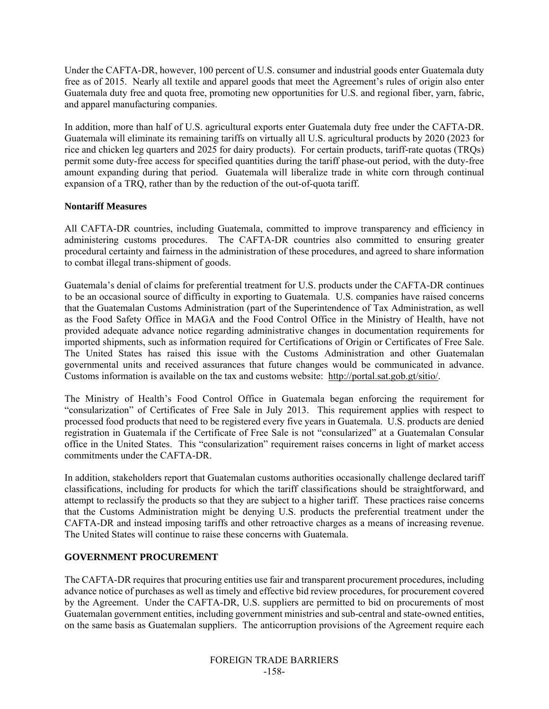Under the CAFTA-DR, however, 100 percent of U.S. consumer and industrial goods enter Guatemala duty free as of 2015. Nearly all textile and apparel goods that meet the Agreement's rules of origin also enter Guatemala duty free and quota free, promoting new opportunities for U.S. and regional fiber, yarn, fabric, and apparel manufacturing companies.

In addition, more than half of U.S. agricultural exports enter Guatemala duty free under the CAFTA-DR. Guatemala will eliminate its remaining tariffs on virtually all U.S. agricultural products by 2020 (2023 for rice and chicken leg quarters and 2025 for dairy products). For certain products, tariff-rate quotas (TRQs) permit some duty-free access for specified quantities during the tariff phase-out period, with the duty-free amount expanding during that period. Guatemala will liberalize trade in white corn through continual expansion of a TRQ, rather than by the reduction of the out-of-quota tariff.

# **Nontariff Measures**

All CAFTA-DR countries, including Guatemala, committed to improve transparency and efficiency in administering customs procedures. The CAFTA-DR countries also committed to ensuring greater procedural certainty and fairness in the administration of these procedures, and agreed to share information to combat illegal trans-shipment of goods.

Guatemala's denial of claims for preferential treatment for U.S. products under the CAFTA-DR continues to be an occasional source of difficulty in exporting to Guatemala. U.S. companies have raised concerns that the Guatemalan Customs Administration (part of the Superintendence of Tax Administration, as well as the Food Safety Office in MAGA and the Food Control Office in the Ministry of Health, have not provided adequate advance notice regarding administrative changes in documentation requirements for imported shipments, such as information required for Certifications of Origin or Certificates of Free Sale. The United States has raised this issue with the Customs Administration and other Guatemalan governmental units and received assurances that future changes would be communicated in advance. Customs information is available on the tax and customs website: http://portal.sat.gob.gt/sitio/.

The Ministry of Health's Food Control Office in Guatemala began enforcing the requirement for "consularization" of Certificates of Free Sale in July 2013. This requirement applies with respect to processed food products that need to be registered every five years in Guatemala. U.S. products are denied registration in Guatemala if the Certificate of Free Sale is not "consularized" at a Guatemalan Consular office in the United States. This "consularization" requirement raises concerns in light of market access commitments under the CAFTA-DR.

In addition, stakeholders report that Guatemalan customs authorities occasionally challenge declared tariff classifications, including for products for which the tariff classifications should be straightforward, and attempt to reclassify the products so that they are subject to a higher tariff. These practices raise concerns that the Customs Administration might be denying U.S. products the preferential treatment under the CAFTA-DR and instead imposing tariffs and other retroactive charges as a means of increasing revenue. The United States will continue to raise these concerns with Guatemala.

# **GOVERNMENT PROCUREMENT**

The CAFTA-DR requires that procuring entities use fair and transparent procurement procedures, including advance notice of purchases as well as timely and effective bid review procedures, for procurement covered by the Agreement. Under the CAFTA-DR, U.S. suppliers are permitted to bid on procurements of most Guatemalan government entities, including government ministries and sub-central and state-owned entities, on the same basis as Guatemalan suppliers. The anticorruption provisions of the Agreement require each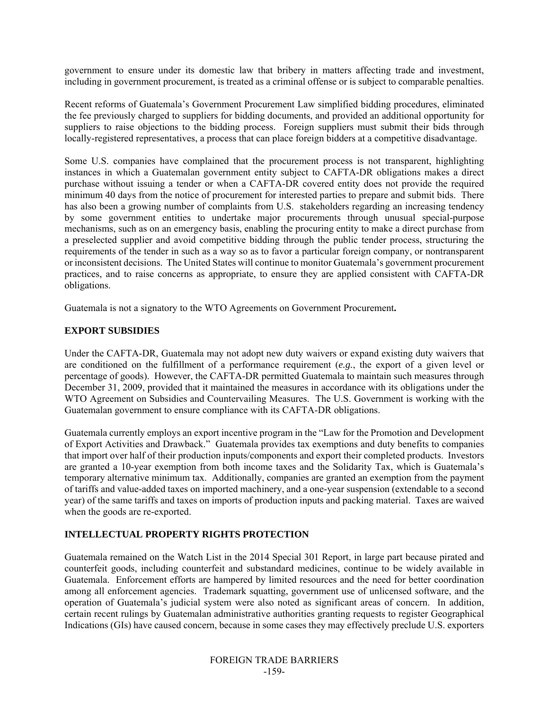government to ensure under its domestic law that bribery in matters affecting trade and investment, including in government procurement, is treated as a criminal offense or is subject to comparable penalties.

Recent reforms of Guatemala's Government Procurement Law simplified bidding procedures, eliminated the fee previously charged to suppliers for bidding documents, and provided an additional opportunity for suppliers to raise objections to the bidding process. Foreign suppliers must submit their bids through locally-registered representatives, a process that can place foreign bidders at a competitive disadvantage.

Some U.S. companies have complained that the procurement process is not transparent, highlighting instances in which a Guatemalan government entity subject to CAFTA-DR obligations makes a direct purchase without issuing a tender or when a CAFTA-DR covered entity does not provide the required minimum 40 days from the notice of procurement for interested parties to prepare and submit bids. There has also been a growing number of complaints from U.S. stakeholders regarding an increasing tendency by some government entities to undertake major procurements through unusual special-purpose mechanisms, such as on an emergency basis, enabling the procuring entity to make a direct purchase from a preselected supplier and avoid competitive bidding through the public tender process, structuring the requirements of the tender in such as a way so as to favor a particular foreign company, or nontransparent or inconsistent decisions. The United States will continue to monitor Guatemala's government procurement practices, and to raise concerns as appropriate, to ensure they are applied consistent with CAFTA-DR obligations.

Guatemala is not a signatory to the WTO Agreements on Government Procurement**.** 

## **EXPORT SUBSIDIES**

Under the CAFTA-DR, Guatemala may not adopt new duty waivers or expand existing duty waivers that are conditioned on the fulfillment of a performance requirement (*e.g.*, the export of a given level or percentage of goods). However, the CAFTA-DR permitted Guatemala to maintain such measures through December 31, 2009, provided that it maintained the measures in accordance with its obligations under the WTO Agreement on Subsidies and Countervailing Measures. The U.S. Government is working with the Guatemalan government to ensure compliance with its CAFTA-DR obligations.

Guatemala currently employs an export incentive program in the "Law for the Promotion and Development of Export Activities and Drawback." Guatemala provides tax exemptions and duty benefits to companies that import over half of their production inputs/components and export their completed products. Investors are granted a 10-year exemption from both income taxes and the Solidarity Tax, which is Guatemala's temporary alternative minimum tax. Additionally, companies are granted an exemption from the payment of tariffs and value-added taxes on imported machinery, and a one-year suspension (extendable to a second year) of the same tariffs and taxes on imports of production inputs and packing material. Taxes are waived when the goods are re-exported.

# **INTELLECTUAL PROPERTY RIGHTS PROTECTION**

Guatemala remained on the Watch List in the 2014 Special 301 Report, in large part because pirated and counterfeit goods, including counterfeit and substandard medicines, continue to be widely available in Guatemala. Enforcement efforts are hampered by limited resources and the need for better coordination among all enforcement agencies. Trademark squatting, government use of unlicensed software, and the operation of Guatemala's judicial system were also noted as significant areas of concern. In addition, certain recent rulings by Guatemalan administrative authorities granting requests to register Geographical Indications (GIs) have caused concern, because in some cases they may effectively preclude U.S. exporters